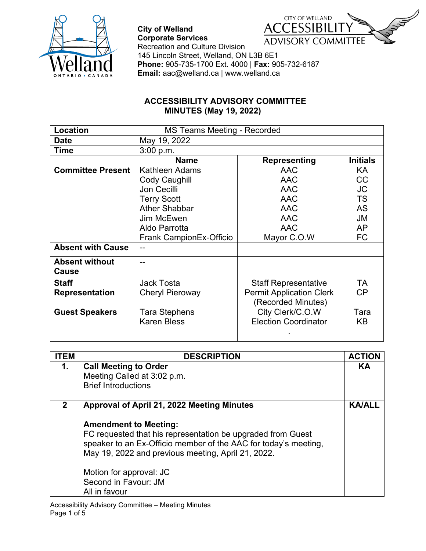



**City of Welland** 

## **ACCESSIBILITY ADVISORY COMMITTEE MINUTES (May 19, 2022)**

| Location                 | MS Teams Meeting - Recorded |                                 |                 |
|--------------------------|-----------------------------|---------------------------------|-----------------|
| <b>Date</b>              | May 19, 2022                |                                 |                 |
| Time                     | 3:00 p.m.                   |                                 |                 |
|                          | <b>Name</b>                 | Representing                    | <b>Initials</b> |
| <b>Committee Present</b> | Kathleen Adams              | <b>AAC</b>                      | KA              |
|                          | Cody Caughill               | <b>AAC</b>                      | CC              |
|                          | Jon Cecilli                 | <b>AAC</b>                      | <b>JC</b>       |
|                          | <b>Terry Scott</b>          | <b>AAC</b>                      | <b>TS</b>       |
|                          | <b>Ather Shabbar</b>        | <b>AAC</b>                      | <b>AS</b>       |
|                          | Jim McEwen                  | <b>AAC</b>                      | JM              |
|                          | Aldo Parrotta               | <b>AAC</b>                      | <b>AP</b>       |
|                          | Frank CampionEx-Officio     | Mayor C.O.W                     | FC              |
| <b>Absent with Cause</b> |                             |                                 |                 |
| <b>Absent without</b>    |                             |                                 |                 |
| Cause                    |                             |                                 |                 |
| <b>Staff</b>             | <b>Jack Tosta</b>           | <b>Staff Representative</b>     | TA              |
| <b>Representation</b>    | <b>Cheryl Pieroway</b>      | <b>Permit Application Clerk</b> | CP              |
|                          |                             | (Recorded Minutes)              |                 |
| <b>Guest Speakers</b>    | Tara Stephens               | City Clerk/C.O.W                | Tara            |
|                          | <b>Karen Bless</b>          | <b>Election Coordinator</b>     | KB              |
|                          |                             |                                 |                 |

| <b>ITEM</b>  | <b>DESCRIPTION</b>                                                                                                                                                                                                                                                                                                                     | <b>ACTION</b> |
|--------------|----------------------------------------------------------------------------------------------------------------------------------------------------------------------------------------------------------------------------------------------------------------------------------------------------------------------------------------|---------------|
| 1.           | <b>Call Meeting to Order</b><br>Meeting Called at 3:02 p.m.<br><b>Brief Introductions</b>                                                                                                                                                                                                                                              | KA            |
| $\mathbf{2}$ | Approval of April 21, 2022 Meeting Minutes<br><b>Amendment to Meeting:</b><br>FC requested that his representation be upgraded from Guest<br>speaker to an Ex-Officio member of the AAC for today's meeting,<br>May 19, 2022 and previous meeting, April 21, 2022.<br>Motion for approval: JC<br>Second in Favour: JM<br>All in favour | <b>KA/ALL</b> |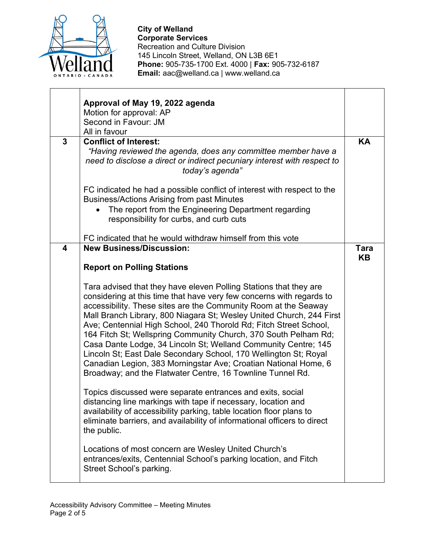

| $\mathbf{3}$ | Approval of May 19, 2022 agenda<br>Motion for approval: AP<br>Second in Favour: JM<br>All in favour<br><b>Conflict of Interest:</b><br>"Having reviewed the agenda, does any committee member have a                                                                                                                                                                                                                                                                                                                                                                                                                                                                                                | KΑ                |
|--------------|-----------------------------------------------------------------------------------------------------------------------------------------------------------------------------------------------------------------------------------------------------------------------------------------------------------------------------------------------------------------------------------------------------------------------------------------------------------------------------------------------------------------------------------------------------------------------------------------------------------------------------------------------------------------------------------------------------|-------------------|
|              | need to disclose a direct or indirect pecuniary interest with respect to<br>today's agenda"<br>FC indicated he had a possible conflict of interest with respect to the<br><b>Business/Actions Arising from past Minutes</b><br>The report from the Engineering Department regarding<br>responsibility for curbs, and curb cuts                                                                                                                                                                                                                                                                                                                                                                      |                   |
|              | FC indicated that he would withdraw himself from this vote                                                                                                                                                                                                                                                                                                                                                                                                                                                                                                                                                                                                                                          |                   |
| 4            | <b>New Business/Discussion:</b><br><b>Report on Polling Stations</b>                                                                                                                                                                                                                                                                                                                                                                                                                                                                                                                                                                                                                                | <b>Tara</b><br>KΒ |
|              | Tara advised that they have eleven Polling Stations that they are<br>considering at this time that have very few concerns with regards to<br>accessibility. These sites are the Community Room at the Seaway<br>Mall Branch Library, 800 Niagara St; Wesley United Church, 244 First<br>Ave; Centennial High School, 240 Thorold Rd; Fitch Street School,<br>164 Fitch St; Wellspring Community Church, 370 South Pelham Rd;<br>Casa Dante Lodge, 34 Lincoln St; Welland Community Centre; 145<br>Lincoln St; East Dale Secondary School, 170 Wellington St; Royal<br>Canadian Legion, 383 Morningstar Ave; Croatian National Home, 6<br>Broadway; and the Flatwater Centre, 16 Townline Tunnel Rd. |                   |
|              | Topics discussed were separate entrances and exits, social<br>distancing line markings with tape if necessary, location and<br>availability of accessibility parking, table location floor plans to<br>eliminate barriers, and availability of informational officers to direct<br>the public.                                                                                                                                                                                                                                                                                                                                                                                                      |                   |
|              | Locations of most concern are Wesley United Church's<br>entrances/exits, Centennial School's parking location, and Fitch<br>Street School's parking.                                                                                                                                                                                                                                                                                                                                                                                                                                                                                                                                                |                   |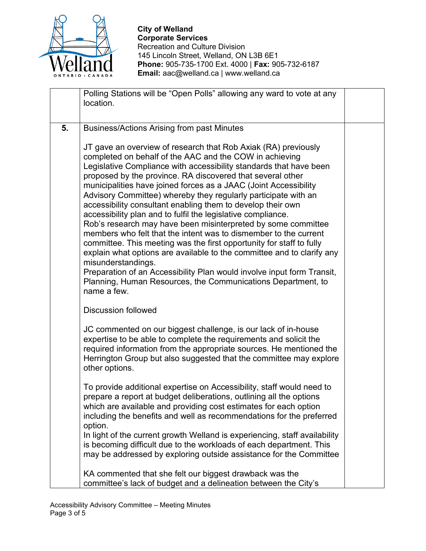

|    | Polling Stations will be "Open Polls" allowing any ward to vote at any     |  |
|----|----------------------------------------------------------------------------|--|
|    | location.                                                                  |  |
|    |                                                                            |  |
| 5. | <b>Business/Actions Arising from past Minutes</b>                          |  |
|    |                                                                            |  |
|    | JT gave an overview of research that Rob Axiak (RA) previously             |  |
|    | completed on behalf of the AAC and the COW in achieving                    |  |
|    | Legislative Compliance with accessibility standards that have been         |  |
|    | proposed by the province. RA discovered that several other                 |  |
|    | municipalities have joined forces as a JAAC (Joint Accessibility           |  |
|    | Advisory Committee) whereby they regularly participate with an             |  |
|    | accessibility consultant enabling them to develop their own                |  |
|    | accessibility plan and to fulfil the legislative compliance.               |  |
|    | Rob's research may have been misinterpreted by some committee              |  |
|    | members who felt that the intent was to dismember to the current           |  |
|    | committee. This meeting was the first opportunity for staff to fully       |  |
|    | explain what options are available to the committee and to clarify any     |  |
|    | misunderstandings.                                                         |  |
|    | Preparation of an Accessibility Plan would involve input form Transit,     |  |
|    | Planning, Human Resources, the Communications Department, to               |  |
|    | name a few.                                                                |  |
|    |                                                                            |  |
|    | <b>Discussion followed</b>                                                 |  |
|    | JC commented on our biggest challenge, is our lack of in-house             |  |
|    | expertise to be able to complete the requirements and solicit the          |  |
|    | required information from the appropriate sources. He mentioned the        |  |
|    | Herrington Group but also suggested that the committee may explore         |  |
|    | other options.                                                             |  |
|    | To provide additional expertise on Accessibility, staff would need to      |  |
|    | prepare a report at budget deliberations, outlining all the options        |  |
|    | which are available and providing cost estimates for each option           |  |
|    | including the benefits and well as recommendations for the preferred       |  |
|    | option.                                                                    |  |
|    | In light of the current growth Welland is experiencing, staff availability |  |
|    | is becoming difficult due to the workloads of each department. This        |  |
|    | may be addressed by exploring outside assistance for the Committee         |  |
|    | KA commented that she felt our biggest drawback was the                    |  |
|    | committee's lack of budget and a delineation between the City's            |  |
|    |                                                                            |  |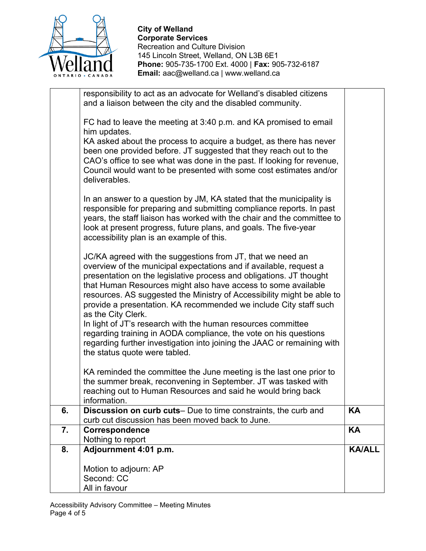

|    | FC had to leave the meeting at 3:40 p.m. and KA promised to email<br>him updates.                                                                                                                                                                                                                                                                                                                                                             |               |
|----|-----------------------------------------------------------------------------------------------------------------------------------------------------------------------------------------------------------------------------------------------------------------------------------------------------------------------------------------------------------------------------------------------------------------------------------------------|---------------|
|    | KA asked about the process to acquire a budget, as there has never<br>been one provided before. JT suggested that they reach out to the<br>CAO's office to see what was done in the past. If looking for revenue,<br>Council would want to be presented with some cost estimates and/or<br>deliverables.                                                                                                                                      |               |
|    | In an answer to a question by JM, KA stated that the municipality is<br>responsible for preparing and submitting compliance reports. In past<br>years, the staff liaison has worked with the chair and the committee to<br>look at present progress, future plans, and goals. The five-year<br>accessibility plan is an example of this.                                                                                                      |               |
|    | JC/KA agreed with the suggestions from JT, that we need an<br>overview of the municipal expectations and if available, request a<br>presentation on the legislative process and obligations. JT thought<br>that Human Resources might also have access to some available<br>resources. AS suggested the Ministry of Accessibility might be able to<br>provide a presentation. KA recommended we include City staff such<br>as the City Clerk. |               |
|    | In light of JT's research with the human resources committee<br>regarding training in AODA compliance, the vote on his questions<br>regarding further investigation into joining the JAAC or remaining with<br>the status quote were tabled.                                                                                                                                                                                                  |               |
|    | KA reminded the committee the June meeting is the last one prior to<br>the summer break, reconvening in September. JT was tasked with<br>reaching out to Human Resources and said he would bring back<br>information.                                                                                                                                                                                                                         |               |
| 6. | <b>Discussion on curb cuts</b> — Due to time constraints, the curb and<br>curb cut discussion has been moved back to June.                                                                                                                                                                                                                                                                                                                    | <b>KA</b>     |
| 7. | <b>Correspondence</b><br>Nothing to report                                                                                                                                                                                                                                                                                                                                                                                                    | KA            |
| 8. | Adjournment 4:01 p.m.                                                                                                                                                                                                                                                                                                                                                                                                                         | <b>KA/ALL</b> |
|    | Motion to adjourn: AP<br>Second: CC<br>All in favour                                                                                                                                                                                                                                                                                                                                                                                          |               |